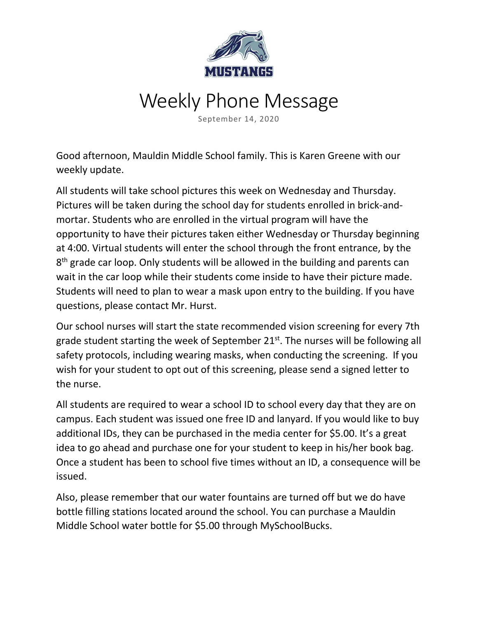

## Weekly Phone Message

September 14, 2020

Good afternoon, Mauldin Middle School family. This is Karen Greene with our weekly update.

All students will take school pictures this week on Wednesday and Thursday. Pictures will be taken during the school day for students enrolled in brick-andmortar. Students who are enrolled in the virtual program will have the opportunity to have their pictures taken either Wednesday or Thursday beginning at 4:00. Virtual students will enter the school through the front entrance, by the 8<sup>th</sup> grade car loop. Only students will be allowed in the building and parents can wait in the car loop while their students come inside to have their picture made. Students will need to plan to wear a mask upon entry to the building. If you have questions, please contact Mr. Hurst.

Our school nurses will start the state recommended vision screening for every 7th grade student starting the week of September  $21^{st}$ . The nurses will be following all safety protocols, including wearing masks, when conducting the screening. If you wish for your student to opt out of this screening, please send a signed letter to the nurse.

All students are required to wear a school ID to school every day that they are on campus. Each student was issued one free ID and lanyard. If you would like to buy additional IDs, they can be purchased in the media center for \$5.00. It's a great idea to go ahead and purchase one for your student to keep in his/her book bag. Once a student has been to school five times without an ID, a consequence will be issued.

Also, please remember that our water fountains are turned off but we do have bottle filling stations located around the school. You can purchase a Mauldin Middle School water bottle for \$5.00 through MySchoolBucks.